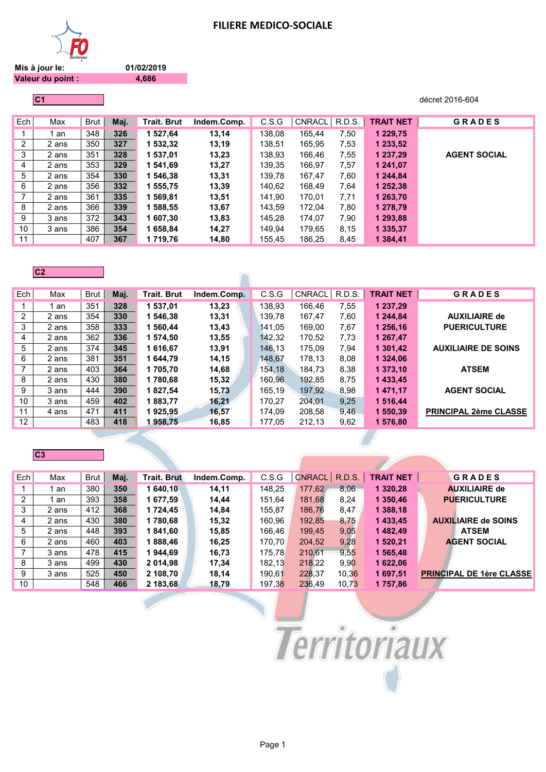

**01/02/2019 4,686**

**Mis à jour le: Valeur du point :**

**C1** décret 2016-604

| Ech            | Max   | Brut | Maj. | <b>Trait. Brut</b> | Indem.Comp. | C.S.G  | CNRACL | R.D.S. | <b>TRAIT NET</b> | <b>GRADES</b>       |
|----------------|-------|------|------|--------------------|-------------|--------|--------|--------|------------------|---------------------|
|                | an    | 348  | 326  | 1 527,64           | 13,14       | 138,08 | 165.44 | 7,50   | 1 229,75         |                     |
| $\overline{2}$ | 2 ans | 350  | 327  | 1 532,32           | 13,19       | 138,51 | 165,95 | 7,53   | 1 233,52         |                     |
| 3              | 2 ans | 351  | 328  | 1 537,01           | 13,23       | 138,93 | 166.46 | 7,55   | 1 237,29         | <b>AGENT SOCIAL</b> |
| 4              | 2 ans | 353  | 329  | 1 541.69           | 13,27       | 139,35 | 166,97 | 7,57   | 1 241.07         |                     |
| 5              | 2 ans | 354  | 330  | 1 546,38           | 13,31       | 139.78 | 167,47 | 7,60   | 1 244,84         |                     |
| 6              | 2 ans | 356  | 332  | 1 555,75           | 13,39       | 140,62 | 168,49 | 7,64   | 1 252,38         |                     |
| $\overline{7}$ | 2 ans | 361  | 335  | 1 569,81           | 13,51       | 141,90 | 170,01 | 7,71   | 1 263,70         |                     |
| 8              | 2 ans | 366  | 339  | 1 588,55           | 13,67       | 143,59 | 172,04 | 7,80   | 1 278,79         |                     |
| 9              | 3 ans | 372  | 343  | 1 607,30           | 13,83       | 145,28 | 174,07 | 7,90   | 1 293,88         |                     |
| 10             | 3 ans | 386  | 354  | 1 658,84           | 14,27       | 149.94 | 179,65 | 8,15   | 1 335,37         |                     |
| 11             |       | 407  | 367  | 1 719,76           | 14,80       | 155,45 | 186,25 | 8,45   | 1 3 8 4 4 1      |                     |

#### **C2**

| Ech            | Max   | Brut | Maj. | <b>Trait, Brut</b> | Indem.Comp. | C.S.G  | <b>CNRACL</b> | R.D.S. | <b>TRAIT NET</b> | <b>GRADES</b>                |
|----------------|-------|------|------|--------------------|-------------|--------|---------------|--------|------------------|------------------------------|
|                | an    | 351  | 328  | 1 537.01           | 13,23       | 138.93 | 166.46        | 7,55   | 1 237,29         |                              |
| $\overline{2}$ | 2 ans | 354  | 330  | 1 546.38           | 13,31       | 139.78 | 167.47        | 7.60   | 1 244.84         | <b>AUXILIAIRE de</b>         |
| 3              | 2 ans | 358  | 333  | 1 560.44           | 13,43       | 141.05 | 169.00        | 7,67   | 1 256.16         | <b>PUERICULTURE</b>          |
| 4              | 2 ans | 362  | 336  | 1 574.50           | 13,55       | 142.32 | 170.52        | 7,73   | 1 267.47         |                              |
| 5              | 2 ans | 374  | 345  | 1616.67            | 13,91       | 146.13 | 175.09        | 7,94   | 1 301.42         | <b>AUXILIAIRE DE SOINS</b>   |
| 6              | 2 ans | 381  | 351  | 1 644.79           | 14,15       | 148.67 | 178.13        | 8,08   | 1 324.06         |                              |
| 7              | 2 ans | 403  | 364  | 1705.70            | 14,68       | 154.18 | 184.73        | 8,38   | 1 373,10         | <b>ATSEM</b>                 |
| 8              | 2 ans | 430  | 380  | 1780.68            | 15,32       | 160.96 | 192.85        | 8,75   | 1433,45          |                              |
| 9              | 3 ans | 444  | 390  | 1827.54            | 15,73       | 165.19 | 197.92        | 8,98   | 1 471,17         | <b>AGENT SOCIAL</b>          |
| 10             | 3 ans | 459  | 402  | 1883.77            | 16,21       | 170.27 | 204.01        | 9.25   | 1 516.44         |                              |
| 11             | 4 ans | 471  | 411  | 1925,95            | 16,57       | 174,09 | 208.58        | 9,46   | 550.39           | <b>PRINCIPAL 2ème CLASSE</b> |
| 12             |       | 483  | 418  | 1958.75            | 16,85       | 177.05 | 212,13        | 9,62   | 576,80           |                              |

 $\bigcap$ 

# **C3**

| Ech | Max   | Brut | Maj. | <b>Trait. Brut</b> | Indem.Comp. | C.S.G  | <b>CNRACL</b> | <b>R.D.S.</b> | <b>TRAIT NET</b> | GRADES                          |
|-----|-------|------|------|--------------------|-------------|--------|---------------|---------------|------------------|---------------------------------|
|     | an    | 380  | 350  | 1 640.10           | 14.11       | 148.25 | 177,62        | 8.06          | 1 3 2 0 . 2 8    | <b>AUXILIAIRE de</b>            |
| 2   | an    | 393  | 358  | 1 677,59           | 14.44       | 151.64 | 181,68        | 8.24          | 1 350.46         | <b>PUERICULTURE</b>             |
| 3   | 2 ans | 412  | 368  | 1 724.45           | 14.84       | 155.87 | 186,76        | 8,47          | 1 388,18         |                                 |
| 4   | 2 ans | 430  | 380  | 1 780,68           | 15,32       | 160.96 | 192,85        | 8,75          | 1433,45          | <b>AUXILIAIRE de SOINS</b>      |
| 5   | 2 ans | 448  | 393  | 1841,60            | 15,85       | 166.46 | 199,45        | 9,05          | 1482.49          | <b>ATSEM</b>                    |
| 6   | 2 ans | 460  | 403  | 1888,46            | 16,25       | 170.70 | 204,52        | 9,28          | 1 520,21         | <b>AGENT SOCIAL</b>             |
| 7   | 3 ans | 478  | 415  | 1944,69            | 16,73       | 175.78 | 210.61        | 9,55          | 1 565,48         |                                 |
| 8   | 3 ans | 499  | 430  | 2 014,98           | 17,34       | 182,13 | 218,22        | 9,90          | 1 622,06         |                                 |
| 9   | 3 ans | 525  | 450  | 2 108.70           | 18.14       | 190.61 | 228,37        | 10.36         | 1 697,51         | <b>PRINCIPAL DE 1ère CLASSE</b> |
| 10  |       | 548  | 466  | 2 183.68           | 18.79       | 197.38 | 236.49        | 10.73         | 1757.86          |                                 |

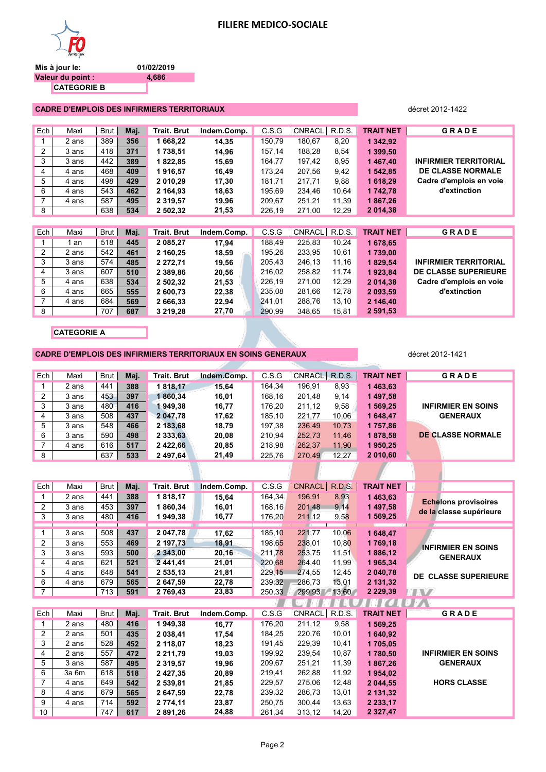| Mis à jour le:           | 01/02/2019 |
|--------------------------|------------|
| <b>Valeur du point :</b> | 4,686      |
| <b>CATEGORIE B</b>       |            |

#### **CADRE D'EMPLOIS DES INFIRMIERS TERRITORIAUX** décret 2012-1422

| Ech            | Maxi  | Brut | Maj. | <b>Trait. Brut</b> | Indem.Comp. | C.S.G  | CNRACL        | R.D.S. | <b>TRAIT NET</b> | <b>GRADE</b>                 |
|----------------|-------|------|------|--------------------|-------------|--------|---------------|--------|------------------|------------------------------|
|                | 2 ans | 389  | 356  | 1 668,22           | 14,35       | 150,79 | 180,67        | 8,20   | 1 342,92         |                              |
| $\overline{2}$ | 3 ans | 418  | 371  | 1738,51            | 14,96       | 157.14 | 188,28        | 8,54   | 1 399,50         |                              |
| 3              | 3 ans | 442  | 389  | 1822,85            | 15,69       | 164.77 | 197.42        | 8,95   | 1467,40          | <b>INFIRMIER TERRITORIAL</b> |
| 4              | 4 ans | 468  | 409  | 1916,57            | 16,49       | 173,24 | 207,56        | 9,42   | 1 542,85         | <b>DE CLASSE NORMALE</b>     |
| 5              | 4 ans | 498  | 429  | 2 010.29           | 17,30       | 181.71 | 217.71        | 9,88   | 1 618,29         | Cadre d'emplois en voie      |
| 6              | 4 ans | 543  | 462  | 2 164,93           | 18,63       | 195,69 | 234,46        | 10,64  | 1742,78          | d'extinction                 |
| $\overline{7}$ | 4 ans | 587  | 495  | 2 3 1 9 , 5 7      | 19,96       | 209,67 | 251,21        | 11,39  | 1867,26          |                              |
| 8              |       | 638  | 534  | 2 502,32           | 21,53       | 226,19 | 271,00        | 12,29  | 2 014,38         |                              |
|                |       |      |      |                    |             |        |               |        |                  |                              |
| Ech            | Maxi  | Brut | Maj. | <b>Trait. Brut</b> | Indem.Comp. | C.S.G  | <b>CNRACL</b> | R.D.S. | <b>TRAIT NET</b> | <b>GRADE</b>                 |
|                | 1 an  | 518  | 445  | 2 085,27           | 17,94       | 188,49 | 225,83        | 10,24  | 1 678,65         |                              |
| 2              | 2 ans | 542  | 461  | 2 160,25           | 18,59       | 195.26 | 233,95        | 10,61  | 1739,00          |                              |
| 3              | 3 ans | 574  | 485  | 2 272,71           | 19,56       | 205,43 | 246,13        | 11,16  | 1829,54          | <b>INFIRMIER TERRITORIAL</b> |
| 4              | 3 ans | 607  | 510  | 2 3 8 9 . 8 6      | 20,56       | 216,02 | 258,82        | 11,74  | 1923.84          | <b>DE CLASSE SUPERIEURE</b>  |
| 5              | 4 ans | 638  | 534  | 2 502,32           | 21,53       | 226,19 | 271,00        | 12,29  | 2 014,38         | Cadre d'emplois en voie      |
| 6              | 4 ans | 665  | 555  | 2 600,73           | 22,38       | 235,08 | 281,66        | 12,78  | 2 093,59         | d'extinction                 |
| $\overline{7}$ | 4 ans | 684  | 569  | 2 666,33           | 22,94       | 241,01 | 288,76        | 13,10  | 2 146,40         |                              |
| 8              |       | 707  | 687  | 3 219,28           | 27,70       | 290,99 | 348,65        | 15,81  | 2 591,53         |                              |

**CATEGORIE A**

**CADRE D'EMPLOIS DES INFIRMIERS TERRITORIAUX EN SOINS GENERAUX décret** 2012-1421

| Ech | Maxi  | <b>Brut</b> | Maj. | <b>Trait. Brut</b> | Indem.Comp. | C.S.G  | CNRACL R.D.S. |       | <b>TRAIT NET</b> | <b>GRADE</b>              |
|-----|-------|-------------|------|--------------------|-------------|--------|---------------|-------|------------------|---------------------------|
|     | 2 ans | 441         | 388  | 1818,17            | 15.64       | 164,34 | 196,91        | 8,93  | 1463,63          |                           |
| 2   | 3 ans | 453         | 397  | 1860.34            | 16,01       | 168,16 | 201.48        | 9,14  | 1497,58          |                           |
| 3   | 3 ans | 480         | 416  | 1949.38            | 16,77       | 176.20 | 211.12        | 9,58  | 1 569.25         | <b>INFIRMIER EN SOINS</b> |
| 4   | 3 ans | 508         | 437  | 2 047.78           | 17,62       | 185.10 | 221,77        | 10.06 | 1648,47          | <b>GENERAUX</b>           |
| 5   | 3 ans | 548         | 466  | 2 183,68           | 18,79       | 197,38 | 236.49        | 10.73 | 1757,86          |                           |
| 6   | 3 ans | 590         | 498  | 2 333.63           | 20,08       | 210.94 | 252.73        | 11.46 | 1878,58          | DE CLASSE NORMALE         |
| 7   | 4 ans | 616         | 517  | 2 422.66           | 20,85       | 218.98 | 262,37        | 11.90 | 1950,25          |                           |
| 8   |       | 637         | 533  | 2 497.64           | 21,49       | 225.76 | 270.49        | 12.27 | 2010.60          |                           |

| Ech            | Maxi  | Brut | Maj. | <b>Trait. Brut</b> | Indem.Comp. | C.S.G  | CNRACL | R.D.S. | <b>TRAIT NET</b> |                                                        |
|----------------|-------|------|------|--------------------|-------------|--------|--------|--------|------------------|--------------------------------------------------------|
|                | 2 ans | 441  | 388  | 1818,17            | 15,64       | 164,34 | 196,91 | 8,93   | 1463,63          |                                                        |
| 2              | 3 ans | 453  | 397  | 1860,34            | 16,01       | 168,16 | 201,48 | 9,14   | 1 497,58         | <b>Echelons provisoires</b><br>de la classe supérieure |
| 3              | 3 ans | 480  | 416  | 1949,38            | 16,77       | 176,20 | 211,12 | 9,58   | 1 569,25         |                                                        |
|                |       |      |      |                    |             |        |        |        |                  |                                                        |
| 1              | 3 ans | 508  | 437  | 2 047,78           | 17,62       | 185,10 | 221,77 | 10,06  | 1 648,47         |                                                        |
| $\overline{2}$ | 3 ans | 553  | 469  | 2 197,73           | 18,91       | 198,65 | 238,01 | 10,80  | 1769,18          | <b>INFIRMIER EN SOINS</b>                              |
| 3              | 3 ans | 593  | 500  | 2 343,00           | 20,16       | 211,78 | 253,75 | 11,51  | 1886,12          | <b>GENERAUX</b>                                        |
| 4              | 4 ans | 621  | 521  | 2441,41            | 21,01       | 220,68 | 264,40 | 11,99  | 1965,34          |                                                        |
| 5              | 4 ans | 648  | 541  | 2 535,13           | 21,81       | 229,15 | 274,55 | 12,45  | 2 040,78         | <b>DE CLASSE SUPERIEURE</b>                            |
| 6              | 4 ans | 679  | 565  | 2 647,59           | 22,78       | 239,32 | 286,73 | 13,01  | 2 131,32         |                                                        |
| $\overline{7}$ |       | 713  | 591  | 2 769,43           | 23,83       | 250,33 | 299,93 | 13,60  | 2 2 2 9 , 3 9    |                                                        |
|                |       |      |      |                    |             |        |        |        |                  |                                                        |
|                |       |      |      |                    |             |        |        |        | w                |                                                        |
| Ech            | Maxi  | Brut | Maj. | <b>Trait. Brut</b> | Indem.Comp. | C.S.G  | CNRACL | R.D.S. | <b>TRAIT NET</b> | <b>GRADE</b>                                           |
| 1              | 2 ans | 480  | 416  | 1949,38            | 16,77       | 176,20 | 211,12 | 9,58   | 1 569,25         |                                                        |
| 2              | 2 ans | 501  | 435  | 2 038,41           | 17,54       | 184,25 | 220,76 | 10,01  | 1 640,92         |                                                        |
| 3              | 2 ans | 528  | 452  | 2 118,07           | 18,23       | 191,45 | 229,39 | 10,41  | 1705,05          |                                                        |
| 4              | 2 ans | 557  | 472  | 2 2 1 1 , 7 9      | 19,03       | 199,92 | 239,54 | 10,87  | 1780,50          | <b>INFIRMIER EN SOINS</b>                              |
| 5              | 3 ans | 587  | 495  | 2 3 1 9 , 5 7      | 19,96       | 209,67 | 251,21 | 11,39  | 1867,26          | <b>GENERAUX</b>                                        |
| 6              | 3a 6m | 618  | 518  | 2 4 2 7 , 3 5      | 20,89       | 219,41 | 262,88 | 11,92  | 1954,02          |                                                        |
| $\overline{7}$ | 4 ans | 649  | 542  | 2 539,81           | 21,85       | 229,57 | 275,06 | 12,48  | 2 044,55         | <b>HORS CLASSE</b>                                     |
| 8              | 4 ans | 679  | 565  | 2 647,59           | 22,78       | 239,32 | 286,73 | 13,01  | 2 131,32         |                                                        |
| 9              | 4 ans | 714  | 592  | 2 774,11           | 23,87       | 250,75 | 300,44 | 13,63  | 2 2 3 3 , 1 7    |                                                        |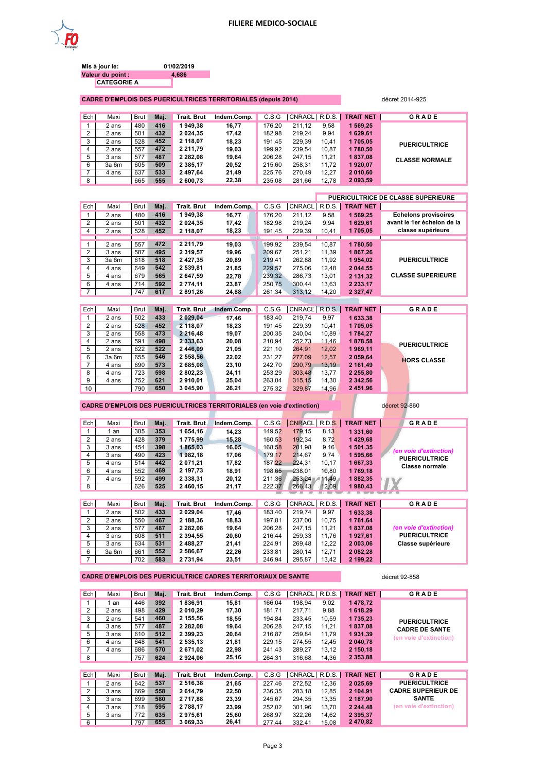

| Mis à jour le:     | 01/02/2019 |
|--------------------|------------|
| Valeur du point :  | 4.686      |
| <b>CATEGORIE A</b> |            |

**CADRE D'EMPLOIS DES PUERICULTRICES TERRITORIALES (depuis 2014)** décret 2014-925

| Ech | Maxi  | Brut I | Maj. | <b>Trait, Brut</b> | Indem.Comp. | C.S.G  | CNRACL R.D.S. |       | <b>TRAIT NET</b> | <b>GRADE</b>          |
|-----|-------|--------|------|--------------------|-------------|--------|---------------|-------|------------------|-----------------------|
|     | 2 ans | 480    | 416  | 1949.38            | 16.77       | 176.20 | 211.12        | 9.58  | 569.25           |                       |
| 2   | 2 ans | 501    | 432  | 2 0 2 4 . 3 5      | 17.42       | 182.98 | 219.24        | 9.94  | 1629.61          |                       |
| 3   | 2 ans | 528    | 452  | 2 118,07           | 18.23       | 191.45 | 229.39        | 10.41 | 1705.05          | <b>PUERICULTRICE</b>  |
| 4   | 2 ans | 557    | 472  | 2 2 1 1 . 7 9      | 19.03       | 199.92 | 239.54        | 10.87 | 1780.50          |                       |
| 5   | 3 ans | 577    | 487  | 2 2 8 2 . 0 8      | 19.64       | 206.28 | 247.15        | 11.21 | 1837,08          | <b>CLASSE NORMALE</b> |
| 6   | 3a 6m | 605    | 509  | 2 3 8 5 . 1 7      | 20,52       | 215.60 | 258,31        | 11.72 | 1920,07          |                       |
|     | 4 ans | 637    | 533  | 2 497,64           | 21,49       | 225.76 | 270.49        | 12.27 | 2 010.60         |                       |
| 8   |       | 665    | 555  | 2 600,73           | 22,38       | 235.08 | 281,66        | 12.78 | 2 093,59         |                       |

| <b>PUERICULTRICE DE CLASSE SUPERIEURE</b> |                  |        |               |        |             |                    |      |      |       |                |
|-------------------------------------------|------------------|--------|---------------|--------|-------------|--------------------|------|------|-------|----------------|
|                                           | <b>TRAIT NET</b> | R.D.S. | <b>CNRACL</b> | C.S.G  | Indem.Comp. | <b>Trait. Brut</b> | Maj. | Brut | Maxi  | Ech            |
| <b>Echelons provisoires</b>               | 1 569.25         | 9.58   | 211.12        | 176.20 | 16.77       | 1949.38            | 416  | 480  | 2 ans |                |
| avant le 1er échelon de la                | 1629.61          | 9.94   | 219.24        | 182.98 | 17.42       | 2 0 24.35          | 432  | 501  | 2 ans | $\overline{2}$ |
| classe supérieure                         | 1705,05          | 10.41  | 229.39        | 191.45 | 18,23       | 2 118,07           | 452  | 528  | 2 ans | $\overline{4}$ |
|                                           |                  |        |               |        |             |                    |      |      |       |                |
|                                           | 1780.50          | 10.87  | 239,54        | 199.92 | 19.03       | 2 2 1 1 . 7 9      | 472  | 557  | 2 ans |                |
|                                           | 1867.26          | 11.39  | 251.21        | 209.67 | 19.96       | 2 3 1 9 . 5 7      | 495  | 587  | 3 ans | 2              |
| <b>PUERICULTRICE</b>                      | 1954.02          | 11.92  | 262.88        | 219.41 | 20,89       | 2427.35            | 518  | 618  | 3a 6m | 3              |
|                                           | 2 044,55         | 12.48  | 275,06        | 229,57 | 21,85       | 2 539.81           | 542  | 649  | 4 ans | 4              |
| <b>CLASSE SUPERIEURE</b>                  | 2 131,32         | 13.01  | 286.73        | 239.32 | 22,78       | 2 647.59           | 565  | 679  | 4 ans | 5              |
|                                           | 2 2 3 3 , 1 7    | 13.63  | 300.44        | 250.75 | 23,87       | 2 774.11           | 592  | 714  | 4 ans | 6              |
|                                           | 2 3 2 7 . 4 7    | 14.20  | 313.12        | 261.34 | 24,88       | 2891.26            | 617  | 747  |       | $\overline{ }$ |

| Ech             | Maxi  | <b>Brut</b> | Maj. | Trait. Brut   | Indem.Comp. | C.S.G  |        |       | CNRACL R.D.S. TRAIT NET | <b>GRADE</b>         |
|-----------------|-------|-------------|------|---------------|-------------|--------|--------|-------|-------------------------|----------------------|
|                 | 2 ans | 502         | 433  | 2 029.04      | 17.46       | 183.40 | 219.74 | 9.97  | 1633,38                 |                      |
| $\overline{2}$  | 2 ans | 528         | 452  | 2 118.07      | 18,23       | 191.45 | 229.39 | 10.41 | 1705.05                 |                      |
| 3               | 2 ans | 558         | 473  | 2 2 1 6 . 4 8 | 19.07       | 200.35 | 240.04 | 10.89 | 1784.27                 |                      |
| 4               | 2 ans | 591         | 498  | 2 333,63      | 20,08       | 210.94 | 252,73 | 11.46 | 1878,58                 | <b>PUERICULTRICE</b> |
| 5               | 2 ans | 622         | 522  | 2 446.09      | 21,05       | 221.10 | 264.91 | 12.02 | 1969.11                 |                      |
| 6               | 3a 6m | 655         | 546  | 2 558.56      | 22,02       | 231,27 | 277,09 | 12.57 | 2 059,64                | <b>HORS CLASSE</b>   |
| 7               | 4 ans | 690         | 573  | 2 685.08      | 23,10       | 242.70 | 290.79 | 13.19 | 2 161.49                |                      |
| 8               | 4 ans | 723         | 598  | 2 802,23      | 24.11       | 253.29 | 303.48 | 13.77 | 2 2 5 5 .80             |                      |
| 9               | 4 ans | 752         | 621  | 2910.01       | 25,04       | 263,04 | 315,15 | 14.30 | 2 342,56                |                      |
| 10 <sup>1</sup> |       | 790         | 650  | 3 045.90      | 26.21       | 275.32 | 329.87 | 14.96 | 2 451.96                |                      |

CADRE D'EMPLOIS DES PUERICULTRICES TERRITORIALES (en voie d'extinction) décret 92-860

| Ech | Maxi  | Brut | Maj. | Trait. Brut   | Indem.Comp. | C.S.G  | <b>CNRACL</b> | <b>R.D.S.</b> | <b>TRAIT NET</b> | <b>GRADE</b>           |
|-----|-------|------|------|---------------|-------------|--------|---------------|---------------|------------------|------------------------|
|     | 1 an  | 385  | 353  | 654.16        | 14.23       | 149.52 | 179.15        | 8.13          | 1 331.60         |                        |
| 2   | 2 ans | 428  | 379  | 1775.99       | 15,28       | 160.53 | 192.34        | 8.72          | 1429.68          |                        |
| 3   | 3 ans | 454  | 398  | 1865.03       | 16,05       | 168.58 | 201.98        | 9.16          | 1 501,35         | (en voie d'extinction) |
| 4   | 3 ans | 490  | 423  | 1982.18       | 17.06       | 179.17 | 214.67        | 9.74          | 1 595,66         | <b>PUERICULTRICE</b>   |
| 5   | 4 ans | 514  | 442  | 2 071.21      | 17,82       | 187.22 | 224.31        | 10.17         | 1 667,33         | <b>Classe normale</b>  |
| 6   | 4 ans | 552  | 469  | 2 197.73      | 18,91       | 198.65 | 238.01        | 10.80         | 1769.18          |                        |
|     | 4 ans | 592  | 499  | 2 3 3 8 . 3 1 | 20,12       | 211.36 | 253.24        | 11.49         | 1882.35          |                        |
| 8   |       | 626  | 525  | 2 460,15      | 21,17       | 222.37 | 266,43        | 12,09         | 1980.43          |                        |
|     |       |      |      |               |             |        |               |               |                  |                        |

| Ech | Maxi  | Brut I | Mai. | <b>Trait, Brut</b> | Indem.Comp. | C.S.G  | <b>CNRACL</b> |       | R.D.S. <b>TRAIT NET</b> | <b>GRADE</b>             |
|-----|-------|--------|------|--------------------|-------------|--------|---------------|-------|-------------------------|--------------------------|
|     | 2 ans | 502    | 433  | 2 029.04           | 17.46       | 183.40 | 219.74        | 9.97  | 633.38                  |                          |
| 2   | 2 ans | 550    | 467  | 2 188.36           | 18,83       | 197.81 | 237.00        | 10.75 | 1761.64                 |                          |
| 3   | 2 ans | 577    | 487  | 2 282.08           | 19.64       | 206.28 | 247.15        | 11.21 | 1837.08                 | (en voie d'extinction)   |
| 4   | 3 ans | 608    | 511  | 2 3 9 4 . 5 5      | 20.60       | 216.44 | 259.33        | 11.76 | 1927.61                 | <b>PUERICULTRICE</b>     |
| 5   | 3 ans | 634    | 531  | 2 488.27           | 21,41       | 224.91 | 269.48        | 12.22 | 2 003.06                | <b>Classe supérieure</b> |
| 6   | 3a 6m | 661    | 552  | 2 586.67           | 22.26       | 233.81 | 280.14        | 12.71 | 2 082.28                |                          |
|     |       | 702    | 583  | 2 731.94           | 23,51       | 246.94 | 295.87        | 13.42 | 2 199.22                |                          |

CADRE D'EMPLOIS DES PUERICULTRICE CADRES TERRITORIAUX DE SANTE **décret 92-858** 

| Ech | Maxi  | Brut        | Maj. | Trait. Brut        | Indem.Comp. | C.S.G  | <b>CNRACL</b> | R.D.S. | <b>TRAIT NET</b> | <b>GRADE</b>              |
|-----|-------|-------------|------|--------------------|-------------|--------|---------------|--------|------------------|---------------------------|
|     | 1 an  | 446         | 392  | 1836,91            | 15,81       | 166.04 | 198.94        | 9.02   | 1478.72          |                           |
| 2   | 2 ans | 498         | 429  | 2 010.29           | 17,30       | 181.71 | 217.71        | 9.88   | 1618.29          |                           |
| 3   | 2 ans | 541         | 460  | 2 155.56           | 18,55       | 194.84 | 233.45        | 10.59  | 1735.23          | <b>PUERICULTRICE</b>      |
| 4   | 3 ans | 577         | 487  | 2 282.08           | 19.64       | 206.28 | 247.15        | 11.21  | 1837.08          | <b>CADRE DE SANTE</b>     |
| 5   | 3 ans | 610         | 512  | 2 399,23           | 20,64       | 216,87 | 259.84        | 11,79  | 1931,39          | (en voie d'extinction)    |
| 6   | 4 ans | 648         | 541  | 2 535.13           | 21,81       | 229.15 | 274.55        | 12,45  | 2 040.78         |                           |
|     | 4 ans | 686         | 570  | 2671,02            | 22,98       | 241.43 | 289.27        | 13.12  | 2 150.18         |                           |
| 8   |       | 757         | 624  | 2924,06            | 25,16       | 264,31 | 316,68        | 14,36  | 2 3 5 3 , 8 8    |                           |
|     |       |             |      |                    |             |        |               |        |                  |                           |
| Ech | Maxi  | <b>Brut</b> | Maj. | <b>Trait. Brut</b> | Indem.Comp. | C.S.G  | <b>CNRACL</b> | R.D.S. | <b>TRAIT NET</b> | <b>GRADE</b>              |
|     | 2 ans | 642         | 537  | 2 516,38           | 21,65       | 227.46 | 272.52        | 12,36  | 2 0 2 5 , 6 9    | <b>PUERICULTRICE</b>      |
| 2   | 3 ans | 669         | 558  | 2614.79            | 22,50       | 236.35 | 283.18        | 12.85  | 2 104.91         | <b>CADRE SUPERIEUR DE</b> |
| 3   | 3 ans | 699         | 580  | 2 717.88           | 23,39       | 245.67 | 294.35        | 13.35  | 2 187.90         | <b>SANTE</b>              |
| 4   | 3 ans | 718         | 595  | 2788.17            | 23,99       | 252.02 | 301.96        | 13.70  | 2 244.48         | (en voie d'extinction)    |
| 5   | 3 ans | 772         | 635  | 2975.61            | 25,60       | 268.97 | 322.26        | 14.62  | 2 3 9 5 . 3 7    |                           |
| 6   |       | 797         | 655  | 3 069.33           | 26,41       | 277.44 | 332.41        | 15.08  | 2 470,82         |                           |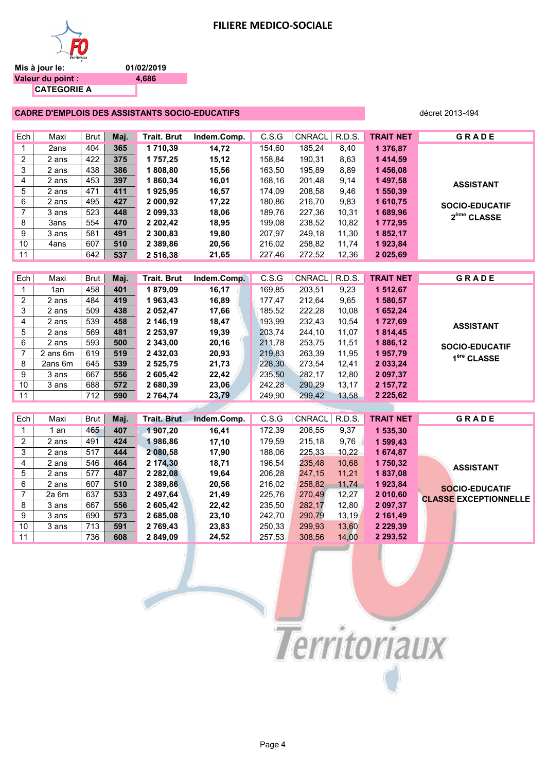

**CATEGORIE A**

**01/02/2019 4,686**

#### **CADRE D'EMPLOIS DES ASSISTANTS SOCIO-EDUCATIFS décret 2013-494** décret 2013-494

| Ech            | Maxi     | <b>Brut</b> | Maj. | <b>Trait. Brut</b> | Indem.Comp. | C.S.G  | <b>CNRACL</b> | R.D.S.        | <b>TRAIT NET</b> | GRADE                        |
|----------------|----------|-------------|------|--------------------|-------------|--------|---------------|---------------|------------------|------------------------------|
| $\mathbf 1$    | 2ans     | 404         | 365  | 1710,39            | 14,72       | 154,60 | 185,24        | 8,40          | 1 376,87         |                              |
| $\overline{2}$ | 2 ans    | 422         | 375  | 1757,25            | 15,12       | 158,84 | 190,31        | 8,63          | 1414,59          |                              |
| 3              | 2 ans    | 438         | 386  | 1808,80            | 15,56       | 163,50 | 195,89        | 8,89          | 1456,08          |                              |
| 4              | 2 ans    | 453         | 397  | 1860,34            | 16,01       | 168,16 | 201,48        | 9,14          | 1 497,58         | <b>ASSISTANT</b>             |
| 5              | 2 ans    | 471         | 411  | 1925,95            | 16,57       | 174,09 | 208,58        | 9,46          | 1 550,39         |                              |
| 6              | 2 ans    | 495         | 427  | 2 000,92           | 17,22       | 180,86 | 216,70        | 9,83          | 1610,75          | <b>SOCIO-EDUCATIF</b>        |
| $\overline{7}$ | 3 ans    | 523         | 448  | 2 099,33           | 18,06       | 189,76 | 227,36        | 10,31         | 1689,96          | 2 <sup>ème</sup> CLASSE      |
| 8              | 3ans     | 554         | 470  | 2 202,42           | 18,95       | 199,08 | 238,52        | 10,82         | 1772,95          |                              |
| 9              | 3 ans    | 581         | 491  | 2 300,83           | 19,80       | 207,97 | 249,18        | 11,30         | 1852,17          |                              |
| 10             | 4ans     | 607         | 510  | 2 389,86           | 20,56       | 216,02 | 258,82        | 11,74         | 1923,84          |                              |
| 11             |          | 642         | 537  | 2 516,38           | 21,65       | 227,46 | 272,52        | 12,36         | 2 025,69         |                              |
|                |          |             |      |                    |             |        |               |               |                  |                              |
| Ech            | Maxi     | <b>Brut</b> | Maj. | <b>Trait. Brut</b> | Indem.Comp. | C.S.G  | CNRACL        | <b>R.D.S.</b> | <b>TRAIT NET</b> | GRADE                        |
| 1              | 1an      | 458         | 401  | 1879,09            | 16,17       | 169,85 | 203,51        | 9,23          | 1 512,67         |                              |
| $\overline{2}$ | 2 ans    | 484         | 419  | 1963,43            | 16,89       | 177,47 | 212,64        | 9,65          | 1 580,57         |                              |
| 3              | 2 ans    | 509         | 438  | 2 052,47           | 17,66       | 185,52 | 222,28        | 10,08         | 1652,24          |                              |
| 4              | 2 ans    | 539         | 458  | 2 146,19           | 18,47       | 193,99 | 232,43        | 10,54         | 1727,69          | <b>ASSISTANT</b>             |
| 5              | 2 ans    | 569         | 481  | 2 2 5 3 , 9 7      | 19,39       | 203,74 | 244,10        | 11,07         | 1814,45          |                              |
| 6              | 2 ans    | 593         | 500  | 2 343,00           | 20,16       | 211,78 | 253,75        | 11,51         | 1886,12          | SOCIO-EDUCATIF               |
| $\overline{7}$ | 2 ans 6m | 619         | 519  | 2 432,03           | 20,93       | 219,83 | 263,39        | 11,95         | 1957,79          | 1 <sup>ère</sup> CLASSE      |
| 8              | 2ans 6m  | 645         | 539  | 2 525,75           | 21,73       | 228,30 | 273,54        | 12,41         | 2 033,24         |                              |
| 9              | 3 ans    | 667         | 556  | 2 605,42           | 22,42       | 235,50 | 282,17        | 12,80         | 2 097,37         |                              |
| 10             | 3 ans    | 688         | 572  | 2 680,39           | 23,06       | 242,28 | 290,29        | 13,17         | 2 157,72         |                              |
| 11             |          | 712         | 590  | 2 764,74           | 23,79       | 249,90 | 299,42        | 13,58         | 2 2 2 5, 6 2     |                              |
|                |          |             |      |                    |             |        |               |               |                  |                              |
| Ech            | Maxi     | Brut        | Maj. | <b>Trait. Brut</b> | Indem.Comp. | C.S.G  | <b>CNRACL</b> | R.D.S.        | <b>TRAIT NET</b> | GRADE                        |
| 1              | 1 an     | 465         | 407  | 1 907,20           | 16,41       | 172,39 | 206,55        | 9,37          | 1 535,30         |                              |
| $\overline{2}$ | 2 ans    | 491         | 424  | 1986,86            | 17,10       | 179,59 | 215,18        | 9,76          | 1 599,43         |                              |
| 3              | 2 ans    | 517         | 444  | 2 080,58           | 17,90       | 188,06 | 225,33        | 10,22         | 1674,87          |                              |
| 4              | 2 ans    | 546         | 464  | 2 174,30           | 18,71       | 196,54 | 235,48        | 10,68         | 1750,32          |                              |
| 5              | 2 ans    | 577         | 487  | 2 2 8 2 , 0 8      | 19,64       | 206,28 | 247,15        | 11,21         | 1837,08          | <b>ASSISTANT</b>             |
| 6              | 2 ans    | 607         | 510  | 2 389,86           | 20,56       | 216,02 | 258,82        | 11,74         | 1923,84          | SOCIO-EDUCATIF               |
| $\overline{7}$ | 2a 6m    | 637         | 533  | 2 497,64           | 21,49       | 225,76 | 270,49        | 12,27         | 2 010,60         | <b>CLASSE EXCEPTIONNELLE</b> |
| 8              | 3 ans    | 667         | 556  | 2 605,42           | 22,42       | 235,50 | 282,17        | 12,80         | 2 097,37         |                              |
| 9              | 3 ans    | 690         | 573  | 2 685,08           | 23,10       | 242,70 | 290,79        | 13,19         | 2 161,49         |                              |
| 10             | 3 ans    | 713         | 591  | 2 769,43           | 23,83       | 250,33 | 299,93        | 13,60         | 2 2 2 9 , 3 9    |                              |
| 11             |          | 736         | 608  | 2 849,09           | 24,52       | 257,53 | 308,56        | 14,00         | 2 293,52         |                              |

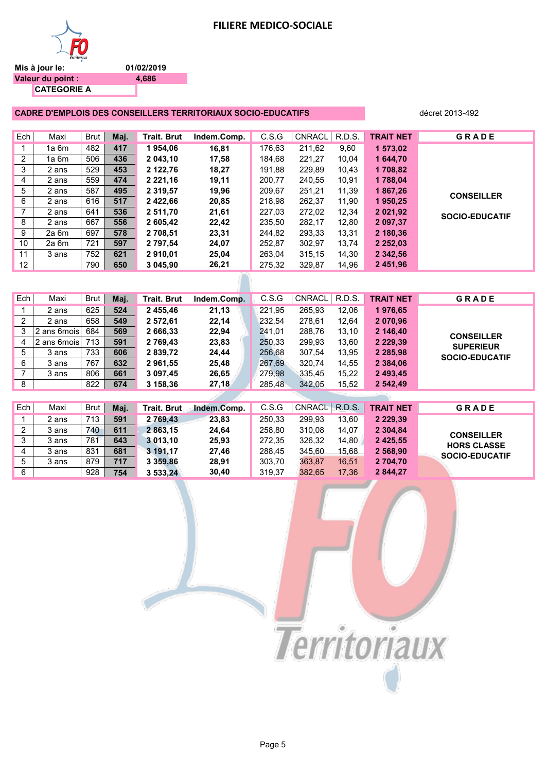



**01/02/2019 4,686**

|     | <b>CADRE D'EMPLOIS DES CONSEILLERS TERRITORIAUX SOCIO-EDUCATIFS</b> |      |      | décret 2013-492    |             |        |               |        |                  |                       |
|-----|---------------------------------------------------------------------|------|------|--------------------|-------------|--------|---------------|--------|------------------|-----------------------|
|     |                                                                     |      |      |                    |             |        |               |        |                  |                       |
| Ech | Maxi                                                                | Brut | Maj. | <b>Trait. Brut</b> | Indem.Comp. | C.S.G  | <b>CNRACL</b> | R.D.S. | <b>TRAIT NET</b> | <b>GRADE</b>          |
|     | 1a 6m                                                               | 482  | 417  | 1954,06            | 16.81       | 176,63 | 211,62        | 9,60   | 1 573,02         |                       |
| 2   | 1a 6m                                                               | 506  | 436  | 2 043,10           | 17,58       | 184,68 | 221,27        | 10,04  | 1 644,70         |                       |
| 3   | 2 ans                                                               | 529  | 453  | 2 122,76           | 18,27       | 191.88 | 229,89        | 10.43  | 1708,82          |                       |
| 4   | 2 ans                                                               | 559  | 474  | 2 2 2 1 , 16       | 19,11       | 200,77 | 240,55        | 10,91  | 1788,04          |                       |
| 5   | 2 ans                                                               | 587  | 495  | 2 3 1 9 , 5 7      | 19,96       | 209,67 | 251,21        | 11,39  | 1867,26          | <b>CONSEILLER</b>     |
| 6   | 2 ans                                                               | 616  | 517  | 2 422,66           | 20,85       | 218,98 | 262,37        | 11,90  | 1950,25          |                       |
| 7   | 2 ans                                                               | 641  | 536  | 2 511,70           | 21,61       | 227.03 | 272,02        | 12,34  | 2 0 2 1 , 9 2    | <b>SOCIO-EDUCATIF</b> |
| 8   | 2 ans                                                               | 667  | 556  | 2 605,42           | 22,42       | 235.50 | 282,17        | 12,80  | 2 097.37         |                       |
| 9   | 2a 6m                                                               | 697  | 578  | 2 708,51           | 23,31       | 244,82 | 293,33        | 13,31  | 2 180,36         |                       |
| 10  | 2a 6m                                                               | 721  | 597  | 2 797.54           | 24,07       | 252,87 | 302,97        | 13,74  | 2 2 5 2 , 0 3    |                       |
| 11  | 3 ans                                                               | 752  | 621  | 2910,01            | 25,04       | 263,04 | 315,15        | 14,30  | 2 342,56         |                       |
| 12  |                                                                     | 790  | 650  | 3 045,90           | 26,21       | 275,32 | 329,87        | 14,96  | 2 451,96         |                       |
|     |                                                                     |      |      |                    |             |        |               |        |                  |                       |
|     |                                                                     |      |      |                    |             |        |               |        |                  |                       |

| Ech            | Maxi         | Brut | Maj. | <b>Trait, Brut</b> | Indem.Comp. | C.S.G  | <b>CNRACL</b> | R.D.S. | <b>TRAIT NET</b> | <b>GRADE</b>          |
|----------------|--------------|------|------|--------------------|-------------|--------|---------------|--------|------------------|-----------------------|
|                | 2 ans        | 625  | 524  | 2 455,46           | 21,13       | 221,95 | 265.93        | 12,06  | 1976,65          |                       |
| 2              | 2 ans        | 658  | 549  | 2 572,61           | 22,14       | 232,54 | 278,61        | 12,64  | 2 070,96         |                       |
| 3              | 2 ans 6 mois | 684  | 569  | 2 666,33           | 22,94       | 241,01 | 288,76        | 13,10  | 2 146,40         | <b>CONSEILLER</b>     |
| 4              | 2 ans 6 mois | 713  | 591  | 2 769.43           | 23,83       | 250.33 | 299.93        | 13,60  | 2 2 2 9 , 3 9    | <b>SUPERIEUR</b>      |
| 5              | 3 ans        | 733  | 606  | 2 839,72           | 24,44       | 256,68 | 307,54        | 13,95  | 2 2 8 5 9 8      | <b>SOCIO-EDUCATIF</b> |
| 6              | 3 ans        | 767  | 632  | 2 961,55           | 25,48       | 267.69 | 320.74        | 14,55  | 2 3 8 4 , 0 6    |                       |
| 7              | 3 ans        | 806  | 661  | 3 097,45           | 26,65       | 279,98 | 335,45        | 15,22  | 2 493,45         |                       |
| 8              |              | 822  | 674  | 3 158,36           | 27,18       | 285,48 | 342.05        | 15,52  | 2 542,49         |                       |
|                |              |      |      |                    |             |        |               |        |                  |                       |
| Ech            | Maxi         | Brut | Maj. | Trait. Brut        | Indem.Comp. | C.S.G  | CNRACL        | R.D.S. | <b>TRAIT NET</b> | <b>GRADE</b>          |
|                | 2 ans        | 713  | 591  | 2 769,43           | 23.83       | 250,33 | 299,93        | 13,60  | 2 2 2 9 , 3 9    |                       |
| $\overline{2}$ | 3 ans        | 740  | 611  | 2 863.15           | 24.64       | 258.80 | 310.08        | 14.07  | 2 304.84         | <b>CONSEILLER</b>     |
| 3              | 3 ans        | 781  | 643  | 3 013,10           | 25,93       | 272,35 | 326,32        | 14,80  | 2 4 2 5 , 5 5    | <b>HORS CLASSE</b>    |

4 3 ans 831 **681 3 191,17 27,46** 288,45 345,60 15,68 **2 568,90** 5 3 ans 879 **717 3 359,86 28,91** 303,70 363,87 16,51 **2 704,70**



**SOCIO-EDUCATIF**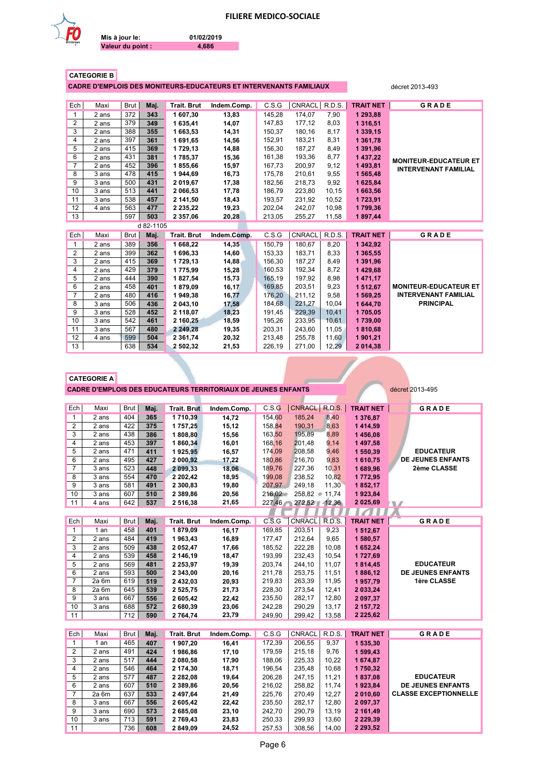

**Valeur du point :**

**Mis à jour le:**

**01/02/2019 4,686**

|--|

**CADRE D'EMPLOIS DES MONITEURS-EDUCATEURS ET INTERVENANTS FAMILIAUX** décret 2013-493

| Ech            | Maxi  | Brut | Maj.      | <b>Trait. Brut</b> | Indem.Comp. | C.S.G  | CNRACL        | R.D.S. | <b>TRAIT NET</b> | GRADE                        |
|----------------|-------|------|-----------|--------------------|-------------|--------|---------------|--------|------------------|------------------------------|
| 1              | 2 ans | 372  | 343       | 1 607,30           | 13.83       | 145,28 | 174,07        | 7,90   | 1 293.88         |                              |
| 2              | 2 ans | 379  | 349       | 1 635,41           | 14,07       | 147,83 | 177,12        | 8,03   | 1 316,51         |                              |
| 3              | 2 ans | 388  | 355       | 1 663,53           | 14,31       | 150.37 | 180,16        | 8,17   | 1 339,15         |                              |
| 4              | 2 ans | 397  | 361       | 1 691,65           | 14,56       | 152,91 | 183,21        | 8,31   | 1 361,78         |                              |
| 5              | 2 ans | 415  | 369       | 1729,13            | 14,88       | 156,30 | 187,27        | 8,49   | 1 391,96         |                              |
| 6              | 2 ans | 431  | 381       | 1785,37            | 15,36       | 161,38 | 193,36        | 8,77   | 1 437,22         | <b>MONITEUR-EDUCATEUR ET</b> |
| $\overline{7}$ | 2 ans | 452  | 396       | 1855,66            | 15,97       | 167,73 | 200,97        | 9,12   | 1 493,81         | <b>INTERVENANT FAMILIAL</b>  |
| 8              | 3 ans | 478  | 415       | 1944,69            | 16,73       | 175,78 | 210,61        | 9,55   | 1 565,48         |                              |
| 9              | 3 ans | 500  | 431       | 2 019,67           | 17,38       | 182,56 | 218,73        | 9,92   | 1 625,84         |                              |
| 10             | 3 ans | 513  | 441       | 2 066,53           | 17,78       | 186,79 | 223,80        | 10,15  | 1 663,56         |                              |
| 11             | 3 ans | 538  | 457       | 2 141,50           | 18,43       | 193,57 | 231,92        | 10,52  | 1723,91          |                              |
| 12             | 4 ans | 563  | 477       | 2 2 3 5 , 2 2      | 19,23       | 202,04 | 242,07        | 10,98  | 1799,36          |                              |
| 13             |       | 597  | 503       | 2 357,06           | 20,28       | 213,05 | 255,27        | 11,58  | 1897,44          |                              |
|                |       |      | d 82-1105 |                    |             |        |               |        |                  |                              |
| Ech            | Maxi  | Brut | Maj.      | <b>Trait. Brut</b> | Indem.Comp. | C.S.G  | <b>CNRACL</b> | R.D.S. | <b>TRAIT NET</b> | GRADE                        |
| $\mathbf{1}$   | 2 ans | 389  | 356       | 1 668,22           | 14,35       | 150,79 | 180,67        | 8,20   | 1 342,92         |                              |
| 2              | 2 ans | 399  | 362       | 1 696.33           | 14.60       | 153.33 | 183.71        | 8,33   | 1 365,55         |                              |
| 3              | 2 ans | 415  | 369       | 1729,13            | 14,88       | 156,30 | 187,27        | 8,49   | 1 391,96         |                              |
| 4              | 2 ans | 429  | 379       | 1775,99            | 15,28       | 160,53 | 192,34        | 8,72   | 1 429,68         |                              |
| 5              | 2 ans | 444  | 390       | 1827,54            | 15,73       | 165,19 | 197,92        | 8,98   | 1 471,17         |                              |
| 6              | 2 ans | 458  | 401       | 1879.09            | 16,17       | 169,85 | 203,51        | 9,23   | 1 512.67         | <b>MONITEUR-EDUCATEUR ET</b> |
| $\overline{7}$ | 2 ans | 480  | 416       | 1949,38            | 16,77       | 176,20 | 211,12        | 9,58   | 1 569,25         | <b>INTERVENANT FAMILIAL</b>  |
| 8              | 3 ans | 506  | 436       | 2 043,10           | 17,58       | 184,68 | 221,27        | 10,04  | 1 644,70         | <b>PRINCIPAL</b>             |
| 9              | 3 ans | 528  | 452       | 2 118,07           | 18,23       | 191,45 | 229,39        | 10,41  | 1705,05          |                              |
| 10             | 3 ans | 542  | 461       | 2 160,25           | 18,59       | 195,26 | 233,95        | 10,61  | 1739,00          |                              |
| 11             | 3 ans | 567  | 480       | 2 249,28           | 19,35       | 203,31 | 243,60        | 11,05  | 1810,68          |                              |
|                |       |      |           |                    |             |        |               |        |                  |                              |
| 12             | 4 ans | 599  | 504       | 2 3 6 1 , 7 4      | 20,32       | 213,48 | 255,78        | 11,60  | 1901.21          |                              |

|                      | <b>CADRE D'EMPLOIS DES EDUCATEURS TERRITORIAUX DE JEUNES ENFANTS</b> |  |
|----------------------|----------------------------------------------------------------------|--|
| <b>CATEGORIE A .</b> |                                                                      |  |

**décret 2013-495** 

 $\overline{\phantom{a}}$ 

| Ech            | Maxi    | Brut        | Maj. | <b>Trait. Brut</b> | Indem.Comp. | C.S.G  | <b>CNRACL</b> | R.D.S.        | <b>TRAIT NET</b> | GRADE                        |
|----------------|---------|-------------|------|--------------------|-------------|--------|---------------|---------------|------------------|------------------------------|
| $\mathbf{1}$   | 2 ans   | 404         | 365  | 1710,39            | 14,72       | 154,60 | 185,24        | 8,40          | 1 376,87         |                              |
| $\overline{2}$ | 2 ans   | 422         | 375  | 1757,25            | 15,12       | 158,84 | 190,31        | 8,63          | 1 414,59         |                              |
| 3              | 2 ans   | 438         | 386  | 1808,80            | 15,56       | 163,50 | 195,89        | 8,89          | 1 456,08         |                              |
| 4              | 2 ans   | 453         | 397  | 1860,34            | 16,01       | 168,16 | 201,48        | 9,14          | 1 497,58         |                              |
| 5              | 2 ans   | 471         | 411  | 1925,95            | 16,57       | 174.09 | 208,58        | 9,46          | 1 550,39         | <b>EDUCATEUR</b>             |
| 6              | 2 ans   | 495         | 427  | 2 000,92           | 17,22       | 180,86 | 216,70        | 9,83          | 1610,75          | <b>DE JEUNES ENFANTS</b>     |
| $\overline{7}$ | 3 ans   | 523         | 448  | 2 099,33           | 18,06       | 189,76 | 227,36        | 10,31         | 1 689,96         | 2ème CLASSE                  |
| 8              | 3 ans   | 554         | 470  | 2 202,42           | 18,95       | 199,08 | 238,52        | 10,82         | 1772,95          |                              |
| 9              | 3 ans   | 581         | 491  | 2 300,83           | 19,80       | 207,97 | 249,18        | 11,30         | 1852,17          |                              |
| 10             | 3 ans   | 607         | 510  | 2 389,86           | 20,56       | 216,02 | 258,82        | 11,74         | 1923,84          |                              |
| 11             | 4 ans   | 642         | 537  | 2 516,38           | 21,65       | 227,46 | 272,52        | 12,36         | 2 025,69         | w                            |
|                |         |             |      |                    |             |        |               |               | Z.               |                              |
| Ech            | Maxi    | <b>Brut</b> | Maj. | <b>Trait. Brut</b> | Indem.Comp. | C.S.G  | <b>CNRACL</b> | <b>R.D.S.</b> | <b>TRAIT NET</b> | <b>GRADE</b>                 |
| $\mathbf{1}$   | 1an     | 458         | 401  | 1879,09            | 16,17       | 169,85 | 203,51        | 9,23          | 1 512,67         |                              |
| 2              | 2 ans   | 484         | 419  | 1963,43            | 16,89       | 177,47 | 212,64        | 9,65          | 1 580,57         |                              |
| 3              | 2 ans   | 509         | 438  | 2 052,47           | 17,66       | 185,52 | 222,28        | 10,08         | 1 652,24         |                              |
| 4              | 2 ans   | 539         | 458  | 2 146,19           | 18,47       | 193,99 | 232,43        | 10,54         | 1727,69          |                              |
| 5              | 2 ans   | 569         | 481  | 2 2 5 3 , 9 7      | 19,39       | 203,74 | 244,10        | 11,07         | 1814,45          | <b>EDUCATEUR</b>             |
| 6              | 2 ans   | 593         | 500  | 2 343,00           | 20,16       | 211,78 | 253,75        | 11,51         | 1886,12          | <b>DE JEUNES ENFANTS</b>     |
| $\overline{7}$ | $2a$ 6m | 619         | 519  | 2 432,03           | 20,93       | 219,83 | 263,39        | 11,95         | 1957,79          | 1ère CLASSE                  |
| 8              | 2a 6m   | 645         | 539  | 2 525,75           | 21,73       | 228,30 | 273,54        | 12,41         | 2 033,24         |                              |
| 9              | 3 ans   | 667         | 556  | 2 605,42           | 22,42       | 235,50 | 282,17        | 12,80         | 2 097,37         |                              |
| 10             | 3 ans   | 688         | 572  | 2 680,39           | 23,06       | 242,28 | 290,29        | 13,17         | 2 157,72         |                              |
| 11             |         | 712         | 590  | 2 764,74           | 23,79       | 249,90 | 299,42        | 13,58         | 2 2 2 5, 6 2     |                              |
|                |         |             |      |                    |             |        |               |               |                  |                              |
| Ech            | Maxi    | <b>Brut</b> | Maj. | <b>Trait. Brut</b> | Indem.Comp. | C.S.G  | <b>CNRACL</b> | R.D.S.        | <b>TRAIT NET</b> | GRADE                        |
| $\mathbf{1}$   | 1an     | 465         | 407  | 1907,20            | 16,41       | 172.39 | 206,55        | 9,37          | 1 535,30         |                              |
| 2              | 2 ans   | 491         | 424  | 1986,86            | 17,10       | 179,59 | 215,18        | 9,76          | 1 599,43         |                              |
| 3              | 2 ans   | 517         | 444  | 2 080,58           | 17,90       | 188,06 | 225,33        | 10,22         | 1 674,87         |                              |
| 4              | 2 ans   | 546         | 464  | 2 174,30           | 18,71       | 196,54 | 235,48        | 10,68         | 1750,32          |                              |
| 5              | 2 ans   | 577         | 487  | 2 282,08           | 19,64       | 206,28 | 247,15        | 11,21         | 1837,08          | <b>EDUCATEUR</b>             |
| 6              | 2 ans   | 607         | 510  | 2 389,86           | 20,56       | 216,02 | 258,82        | 11,74         | 1923,84          | <b>DE JEUNES ENFANTS</b>     |
| $\overline{7}$ | $2a$ 6m | 637         | 533  | 2 497,64           | 21,49       | 225,76 | 270,49        | 12,27         | 2 010,60         | <b>CLASSE EXCEPTIONNELLE</b> |
| 8              | 3 ans   | 667         | 556  | 2 605,42           | 22,42       | 235,50 | 282,17        | 12,80         | 2 097,37         |                              |
| 9              | 3 ans   | 690         | 573  | 2 685,08           | 23,10       | 242,70 | 290,79        | 13,19         | 2 161,49         |                              |
| 10             | 3 ans   | 713         | 591  | 2769,43            | 23,83       | 250,33 | 299,93        | 13,60         | 2 2 2 9 , 3 9    |                              |
| 11             |         | 736         | 608  | 2 849,09           | 24,52       | 257,53 | 308,56        | 14,00         | 2 293,52         |                              |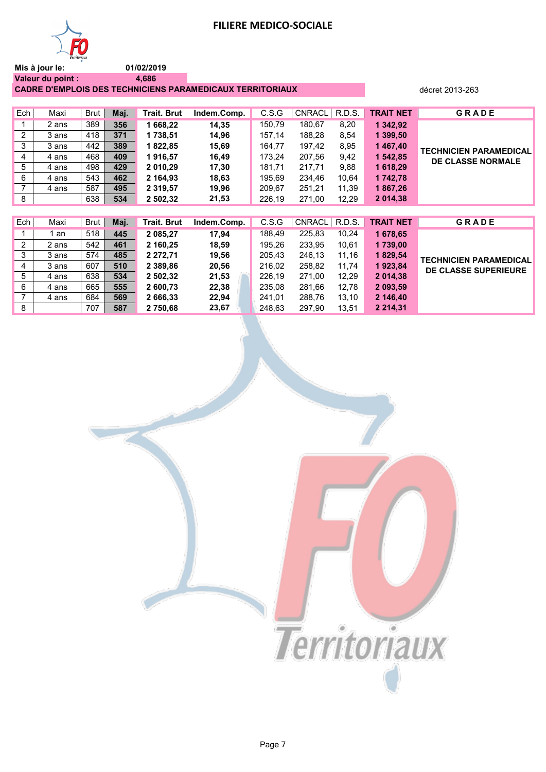

**Mis à jour le: Valeur du point : 01/02/2019 4,686**

**CADRE D'EMPLOIS DES TECHNICIENS PARAMEDICAUX TERRITORIAUX décret 2013-263** 

| Ech | Maxi  | Brut | Maj. | Trait. Brut   | Indem.Comp. | C.S.G  | <b>CNRACL</b> | R.D.S. | <b>TRAIT NET</b> | <b>GRADE</b>                  |
|-----|-------|------|------|---------------|-------------|--------|---------------|--------|------------------|-------------------------------|
|     | 2 ans | 389  | 356  | 1 668,22      | 14,35       | 150,79 | 180,67        | 8,20   | 1 342,92         |                               |
| 2   | 3 ans | 418  | 371  | 1 738.51      | 14,96       | 157,14 | 188.28        | 8,54   | 1 399,50         |                               |
| 3   | 3 ans | 442  | 389  | 1822,85       | 15,69       | 164,77 | 197,42        | 8,95   | 1467,40          | <b>TECHNICIEN PARAMEDICAL</b> |
| 4   | 4 ans | 468  | 409  | 1916,57       | 16,49       | 173.24 | 207,56        | 9,42   | 1 542,85         | <b>DE CLASSE NORMALE</b>      |
| 5   | 4 ans | 498  | 429  | 2 010,29      | 17,30       | 181,71 | 217,71        | 9,88   | 1 618,29         |                               |
| 6   | 4 ans | 543  | 462  | 2 164.93      | 18,63       | 195.69 | 234,46        | 10,64  | 1 742,78         |                               |
| 7   | 4 ans | 587  | 495  | 2 3 1 9 , 5 7 | 19,96       | 209.67 | 251,21        | 11,39  | 1867,26          |                               |
| 8   |       | 638  | 534  | 2 502,32      | 21,53       | 226,19 | 271,00        | 12,29  | 2 014,38         |                               |
|     |       |      |      |               |             |        |               |        |                  |                               |
| Ech | Maxi  | Brut | Maj. | Trait. Brut   | Indem.Comp. | C.S.G  | <b>CNRACL</b> | R.D.S. | <b>TRAIT NET</b> | <b>GRADE</b>                  |
|     | 1 an  | 518  | 445  | 2 085,27      | 17,94       | 188,49 | 225,83        | 10,24  | 1678,65          |                               |
| 2   | 2 ans | 542  | 461  | 2 160,25      | 18,59       | 195,26 | 233,95        | 10,61  | 1739,00          |                               |
| 3   | 3 ans | 574  | 485  | 2 272,71      | 19,56       | 205,43 | 246,13        | 11,16  | 1829,54          | <b>TECHNICIEN PARAMEDICAL</b> |
| 4   | 3 ans | 607  | 510  | 2 389.86      | 20,56       | 216.02 | 258,82        | 11,74  | 1923,84          | DE CLASSE SUPERIEURE          |
| 5   | 4 ans | 638  | 534  | 2 502,32      | 21,53       | 226,19 | 271,00        | 12,29  | 2 014,38         |                               |
| 6   | 4 ans | 665  | 555  | 2 600.73      | 22,38       | 235,08 | 281,66        | 12,78  | 2 093,59         |                               |

7 4 ans 684 **569 2 666,33 22,94** 241,01 288,76 13,10 **2 146,40** 8 707 **587 2 750,68 23,67** 248,63 297,90 13,51 **2 214,31**

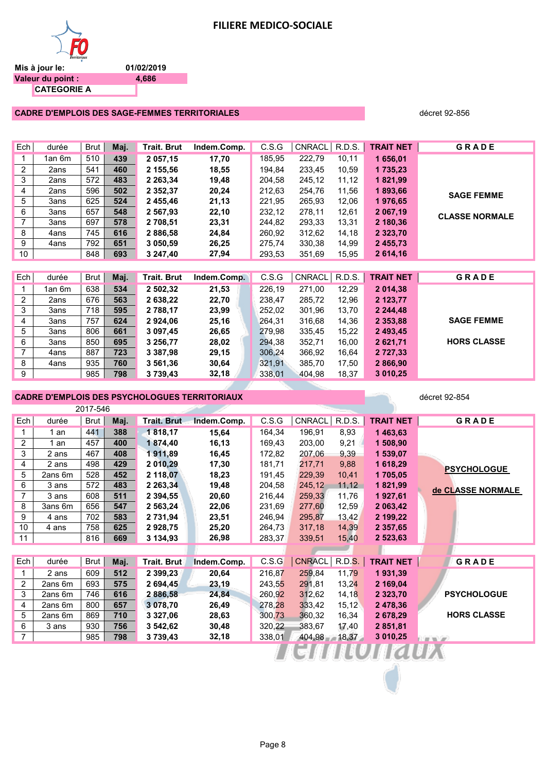

**01/02/2019 4,686**

#### **CADRE D'EMPLOIS DES SAGE-FEMMES TERRITORIALES décret 92-856** décret 92-856

| Ech            | durée  | Brut | Maj. | Trait. Brut   | Indem.Comp. | C.S.G  | CNRACL | R.D.S. | <b>TRAIT NET</b> | <b>GRADE</b>          |
|----------------|--------|------|------|---------------|-------------|--------|--------|--------|------------------|-----------------------|
|                | 1an 6m | 510  | 439  | 2 057,15      | 17,70       | 185,95 | 222,79 | 10,11  | 1 656,01         |                       |
| $\overline{2}$ | 2ans   | 541  | 460  | 2 155,56      | 18,55       | 194,84 | 233,45 | 10,59  | 1735,23          |                       |
| 3              | 2ans   | 572  | 483  | 2 2 6 3 , 3 4 | 19,48       | 204,58 | 245,12 | 11,12  | 1821,99          |                       |
| 4              | 2ans   | 596  | 502  | 2 3 5 2 , 3 7 | 20,24       | 212,63 | 254,76 | 11,56  | 1893,66          | <b>SAGE FEMME</b>     |
| 5              | 3ans   | 625  | 524  | 2 455,46      | 21,13       | 221,95 | 265,93 | 12,06  | 1976,65          |                       |
| 6              | 3ans   | 657  | 548  | 2 567,93      | 22,10       | 232,12 | 278,11 | 12,61  | 2 067,19         | <b>CLASSE NORMALE</b> |
| $\overline{7}$ | 3ans   | 697  | 578  | 2 708,51      | 23,31       | 244,82 | 293,33 | 13,31  | 2 180,36         |                       |
| 8              | 4ans   | 745  | 616  | 2 886,58      | 24,84       | 260,92 | 312,62 | 14,18  | 2 3 2 3 , 7 0    |                       |
| 9              | 4ans   | 792  | 651  | 3 050,59      | 26,25       | 275,74 | 330,38 | 14,99  | 2455,73          |                       |
| 10             |        | 848  | 693  | 3 247,40      | 27,94       | 293,53 | 351,69 | 15,95  | 2614,16          |                       |
|                |        |      |      |               |             |        |        |        |                  |                       |
| Ech            | durée  | Brut | Maj. | Trait. Brut   | Indem.Comp. | C.S.G  | CNRACL | R.D.S. | <b>TRAIT NET</b> | <b>GRADE</b>          |
| 1              | 1an 6m | 638  | 534  | 2 502,32      | 21,53       | 226,19 | 271,00 | 12,29  | 2 014,38         |                       |
| $\overline{2}$ | 2ans   | 676  | 563  | 2 638,22      | 22,70       | 238,47 | 285,72 | 12,96  | 2 123,77         |                       |
| 3              | 3ans   | 718  | 595  | 2 788,17      | 23,99       | 252,02 | 301,96 | 13,70  | 2 244,48         |                       |
| 4              | 3ans   | 757  | 624  | 2924,06       | 25,16       | 264,31 | 316,68 | 14,36  | 2 3 5 3 , 8 8    | <b>SAGE FEMME</b>     |
| 5              | 3ans   | 806  | 661  | 3 097,45      | 26,65       | 279,98 | 335,45 | 15,22  | 2 493,45         |                       |
| 6              | 3ans   | 850  | 695  | 3 256,77      | 28,02       | 294,38 | 352,71 | 16,00  | 2 621,71         | <b>HORS CLASSE</b>    |
| 7              | 4ans   | 887  | 723  | 3 387,98      | 29,15       | 306,24 | 366,92 | 16,64  | 2 7 2 7 , 3 3    |                       |
| 8              | 4ans   | 935  | 760  | 3 561,36      | 30,64       | 321,91 | 385,70 | 17,50  | 2866,90          |                       |
| 9              |        | 985  | 798  | 3 739,43      | 32,18       | 338,01 | 404,98 | 18,37  | 3 010,25         |                       |

#### **CADRE D'EMPLOIS DES PSYCHOLOGUES TERRITORIAUX** décret 92-854

|                |         | 2017-546 |      |                    |             |        |               |               |                  |                    |
|----------------|---------|----------|------|--------------------|-------------|--------|---------------|---------------|------------------|--------------------|
| Ech            | durée   | Brut     | Maj. | <b>Trait. Brut</b> | Indem.Comp. | C.S.G  | CNRACL        | R.D.S.        | <b>TRAIT NET</b> | <b>GRADE</b>       |
|                | 1 an    | 441      | 388  | 1818,17            | 15,64       | 164,34 | 196,91        | 8,93          | 1 463,63         |                    |
| 2              | an      | 457      | 400  | 1874,40            | 16,13       | 169,43 | 203,00        | 9,21          | 1 508,90         |                    |
| 3              | 2 ans   | 467      | 408  | 1911,89            | 16,45       | 172,82 | 207,06        | 9,39          | 1 539,07         |                    |
| 4              | 2 ans   | 498      | 429  | 2 010,29           | 17,30       | 181,71 | 217,71        | 9,88          | 1 618,29         | <b>PSYCHOLOGUE</b> |
| 5              | 2ans 6m | 528      | 452  | 2 118,07           | 18,23       | 191,45 | 229,39        | 10,41         | 1705,05          |                    |
| 6              | 3 ans   | 572      | 483  | 2 263,34           | 19,48       | 204,58 | 245,12        | 11,12         | 1821,99          | de CLASSE NORMALE  |
| $\overline{7}$ | 3 ans   | 608      | 511  | 2 394,55           | 20,60       | 216,44 | 259,33        | 11,76         | 1927,61          |                    |
| 8              | 3ans 6m | 656      | 547  | 2 563,24           | 22,06       | 231,69 | 277,60        | 12,59         | 2 063,42         |                    |
| 9              | 4 ans   | 702      | 583  | 2 731,94           | 23,51       | 246,94 | 295,87        | 13,42         | 2 199,22         |                    |
| 10             | 4 ans   | 758      | 625  | 2928,75            | 25,20       | 264,73 | 317,18        | 14,39         | 2 3 5 7 . 6 5    |                    |
| 11             |         | 816      | 669  | 3 134,93           | 26,98       | 283,37 | 339,51        | 15,40         | 2 523,63         |                    |
|                |         |          |      |                    |             |        |               |               |                  |                    |
| Ech            | durée   | Brut     | Maj. | Trait. Brut        | Indem.Comp. | C.S.G  | <b>CNRACL</b> | <b>R.D.S.</b> | <b>TRAIT NET</b> | <b>GRADE</b>       |
| 1              | 2 ans   | 609      | 512  | 2 399,23           | 20,64       | 216,87 | 259,84        | 11,79         | 1931,39          |                    |
| 2              | 2ans 6m | 693      | 575  | 2 694,45           | 23,19       | 243,55 | 291,81        | 13,24         | 2 169,04         |                    |
| 3              | 2ans 6m | 746      | 616  | 2 886,58           | 24,84       | 260,92 | 312,62        | 14,18         | 2 3 2 3 , 70     | <b>PSYCHOLOGUE</b> |
| 4              | 2ans 6m | 800      | 657  | 3 078,70           | 26,49       | 278,28 | 333,42        | 15,12         | 2478,36          |                    |
| 5              | 2ans 6m | 869      | 710  | 3 327,06           | 28,63       | 300,73 | 360,32        | 16,34         | 2 678,29         | <b>HORS CLASSE</b> |
| 6              | 3 ans   | 930      | 756  | 3 542,62           | 30,48       | 320,22 | 383,67        | 17,40         | 2 851,81         |                    |
| $\overline{7}$ |         | 985      | 798  | 3 739,43           | 32,18       | 338,01 | 404,98        | 18,37         | 3 010,25         |                    |
|                |         |          |      |                    |             |        |               |               |                  |                    |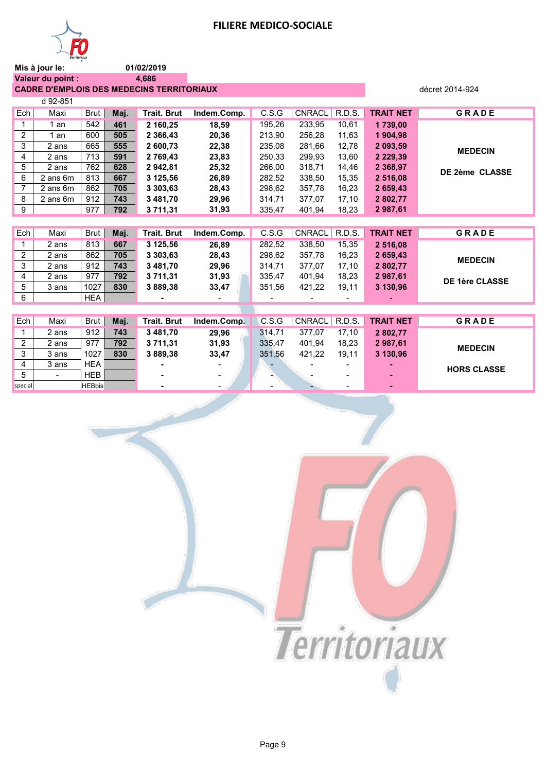

01/02/2019 4,686

Valeur du point : CADRE D'EMPLOIS DES MEDECINS TERRITORIAUX

|                | d 92-851 |      |      |                    |             |        |        |        |                  |                |
|----------------|----------|------|------|--------------------|-------------|--------|--------|--------|------------------|----------------|
| Ech            | Maxi     | Brut | Maj. | <b>Trait. Brut</b> | Indem.Comp. | C.S.G  | CNRACL | R.D.S. | <b>TRAIT NET</b> | <b>GRADE</b>   |
|                | 1 an     | 542  | 461  | 2 160,25           | 18,59       | 195,26 | 233,95 | 10.61  | 1739,00          |                |
| $\overline{2}$ | 1 an     | 600  | 505  | 2 3 6 6 4 3        | 20,36       | 213.90 | 256,28 | 11,63  | 1 904,98         |                |
| 3              | 2 ans    | 665  | 555  | 2 600,73           | 22,38       | 235,08 | 281,66 | 12,78  | 2 093,59         | <b>MEDECIN</b> |
| 4              | 2 ans    | 713  | 591  | 2 769,43           | 23,83       | 250,33 | 299,93 | 13,60  | 2 2 2 9 , 3 9    |                |
| 5              | 2 ans    | 762  | 628  | 2 942,81           | 25,32       | 266,00 | 318,71 | 14,46  | 2 3 68, 97       | DE 2ème CLASSE |
| 6              | 2 ans 6m | 813  | 667  | 3 125,56           | 26,89       | 282,52 | 338,50 | 15,35  | 2 516,08         |                |
| 7              | 2 ans 6m | 862  | 705  | 3 303,63           | 28,43       | 298,62 | 357,78 | 16,23  | 2 659,43         |                |
| 8              | 2 ans 6m | 912  | 743  | 3 481,70           | 29,96       | 314.71 | 377.07 | 17,10  | 2 802,77         |                |
| 9              |          | 977  | 792  | 3 711,31           | 31,93       | 335,47 | 401,94 | 18,23  | 2987,61          |                |
|                |          |      |      |                    |             |        |        |        |                  |                |

décret 2014-924

| <b>GRADE</b>   | <b>TRAIT NET</b> |       | CNRACL R.D.S. | C.S.G  | Indem.Comp. | Trait. Brut | Mai. | Brut I | Maxi  | Ech '          |
|----------------|------------------|-------|---------------|--------|-------------|-------------|------|--------|-------|----------------|
|                | 2 516.08         | 15.35 | 338.50        | 282.52 | 26.89       | 3 125.56    | 667  | 813    | 2 ans |                |
| <b>MEDECIN</b> | 2 659.43         | 16.23 | 357.78        | 298.62 | 28.43       | 3 303.63    | 705  | 862    | 2 ans | $\overline{2}$ |
|                | 2802.77          | 17.10 | 377.07        | 314.71 | 29.96       | 3 481.70    | 743  | 912    | 2 ans | 3              |
| DE 1ère CLASSE | 2 987,61         | 18.23 | 401.94        | 335.47 | 31,93       | 3 711.31    | 792  | 977    | 2 ans | 4              |
|                | 3 130.96         | 19.11 | 421.22        | 351.56 | 33.47       | 3 889.38    | 830  | 1027   | 3 ans | 5              |
|                |                  |       |               |        |             |             |      | HFA    |       | ี              |

| Ech            | Maxi           | Brut          | Maj. | <b>Trait. Brut</b> | Indem.Comp.              | C.S.G  | CNRACL   R.D.S. |                          | <b>TRAIT NET</b> | <b>GRADE</b>       |
|----------------|----------------|---------------|------|--------------------|--------------------------|--------|-----------------|--------------------------|------------------|--------------------|
|                | 2 ans          | 912           | 743  | 3481.70            | 29.96                    | 314.71 | 377.07          | 17.10                    | 2 802.77         |                    |
| $\overline{2}$ | 2 ans          | 977           | 792  | 3 711.31           | 31,93                    | 335.47 | 401.94          | 18.23                    | 2987.61          | <b>MEDECIN</b>     |
| 3              | 3 ans          | 1027          | 830  | 3889.38            | 33.47                    | 351.56 | 421.22          | 19.11                    | 3 130.96         |                    |
| $\overline{4}$ | 3 ans          | <b>HEA</b>    |      |                    | $\overline{\phantom{0}}$ |        |                 | $\overline{\phantom{0}}$ |                  | <b>HORS CLASSE</b> |
| 5              | $\blacksquare$ | <b>HEB</b>    |      | -                  | $\sim$                   |        |                 |                          | ۰                |                    |
| snecial        |                | <b>HFRhis</b> |      |                    | -                        |        |                 |                          |                  |                    |

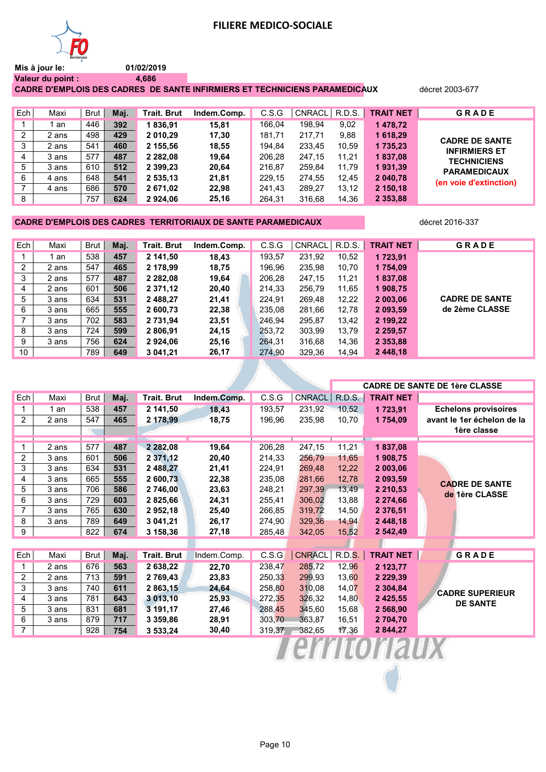

**Mis à jour le: Valeur du point : 01/02/2019 4,686**

**CADRE D'EMPLOIS DES CADRES DE SANTE INFIRMIERS ET TECHNICIENS PARAMEDICAUX** décret 2003-677

Ech Maxi Brut **Maj. Trait. Brut Indem.Comp.** C.S.G CNRACL R.D.S. **TRAIT NET G R A D E**  1 1 an 446 **392 1 836,91 15,81** 166,04 198,94 9,02 **1 478,72** 2 2 ans 498 **429 2 010,29 17,30** 181,71 217,71 9,88 **1 618,29** 3 2 ans 541 **460 2 155,56 18,55** 194,84 233,45 10,59 **1 735,23** 4 3 ans 577 **487 2 282,08 19,64** 206,28 247,15 11,21 **1 837,08** 5 3 ans 610 **512 2 399,23 20,64** 216,87 259,84 11,79 **1 931,39** 6 4 ans 648 **541 2 535,13 21,81** 229,15 274,55 12,45 **2 040,78** 7 4 ans 686 **570 2 671,02 22,98** 241,43 289,27 13,12 **2 150,18** 8 757 **624 2 924,06 25,16** 264,31 316,68 14,36 **2 353,88 CADRE DE SANTE INFIRMIERS ET TECHNICIENS PARAMEDICAUX (en voie d'extinction)**

#### **CADRE D'EMPLOIS DES CADRES TERRITORIAUX DE SANTE PARAMEDICAUX** décret 2016-337

| Ech             | Maxi  | Brut | Maj. | Trait. Brut   | Indem.Comp. | C.S.G  | CNRACL | R.D.S. | <b>TRAIT NET</b> | <b>GRADE</b>          |
|-----------------|-------|------|------|---------------|-------------|--------|--------|--------|------------------|-----------------------|
|                 | an    | 538  | 457  | 2 141.50      | 18,43       | 193,57 | 231,92 | 10,52  | 1 723.91         |                       |
| $\overline{2}$  | 2 ans | 547  | 465  | 2 178,99      | 18,75       | 196,96 | 235,98 | 10,70  | 1754,09          |                       |
| 3               | 2 ans | 577  | 487  | 2 2 8 2 . 0 8 | 19,64       | 206,28 | 247.15 | 11.21  | 1837,08          |                       |
| 4               | 2 ans | 601  | 506  | 2 371,12      | 20,40       | 214,33 | 256,79 | 11,65  | 1908,75          |                       |
| 5               | 3 ans | 634  | 531  | 2 488,27      | 21,41       | 224,91 | 269,48 | 12,22  | 2 003,06         | <b>CADRE DE SANTE</b> |
| 6               | 3 ans | 665  | 555  | 2 600.73      | 22,38       | 235,08 | 281,66 | 12,78  | 2 093.59         | de 2ème CLASSE        |
| 7               | 3 ans | 702  | 583  | 2 731.94      | 23,51       | 246,94 | 295,87 | 13,42  | 2 199,22         |                       |
| 8               | 3 ans | 724  | 599  | 2 806,91      | 24,15       | 253,72 | 303,99 | 13,79  | 2 2 5 9 , 5 7    |                       |
| 9               | 3 ans | 756  | 624  | 2924,06       | 25,16       | 264,31 | 316,68 | 14.36  | 2 3 5 3 , 8 8    |                       |
| 10 <sup>1</sup> |       | 789  | 649  | 3 041.21      | 26,17       | 274,90 | 329,36 | 14,94  | 2 448,18         |                       |

|                |       |      |      |                    |             |        |               |               |                  | <b>CADRE DE SANTE DE 1ère CLASSE</b>    |
|----------------|-------|------|------|--------------------|-------------|--------|---------------|---------------|------------------|-----------------------------------------|
| Ech            | Maxi  | Brut | Maj. | <b>Trait. Brut</b> | Indem.Comp. | C.S.G  | <b>CNRACL</b> | <b>R.D.S.</b> | <b>TRAIT NET</b> |                                         |
|                | 1 an  | 538  | 457  | 2 141,50           | 18,43       | 193,57 | 231,92        | 10.52         | 1723,91          | <b>Echelons provisoires</b>             |
| $\overline{2}$ | 2 ans | 547  | 465  | 2 178,99           | 18,75       | 196,96 | 235,98        | 10.70         | 1754,09          | avant le 1er échelon de la              |
|                |       |      |      |                    |             |        |               |               |                  | 1ère classe                             |
|                | 2 ans | 577  | 487  | 2 2 8 2 , 0 8      | 19,64       | 206,28 | 247,15        | 11,21         | 1837,08          |                                         |
| $\overline{2}$ | 3 ans | 601  | 506  | 2 371,12           | 20,40       | 214,33 | 256,79        | 11,65         | 1 908,75         |                                         |
| 3              | 3 ans | 634  | 531  | 2 488,27           | 21,41       | 224,91 | 269,48        | 12,22         | 2 003,06         |                                         |
| 4              | 3 ans | 665  | 555  | 2 600,73           | 22,38       | 235,08 | 281,66        | 12,78         | 2 093,59         |                                         |
| 5              | 3 ans | 706  | 586  | 2 746,00           | 23,63       | 248,21 | 297,39        | 13,49         | 2 2 1 0 , 5 3    | <b>CADRE DE SANTE</b><br>de 1ère CLASSE |
| 6              | 3 ans | 729  | 603  | 2 825,66           | 24,31       | 255,41 | 306,02        | 13,88         | 2 274,66         |                                         |
| $\overline{7}$ | 3 ans | 765  | 630  | 2952,18            | 25,40       | 266,85 | 319,72        | 14,50         | 2 376,51         |                                         |
| 8              | 3 ans | 789  | 649  | 3 041,21           | 26,17       | 274,90 | 329,36        | 14.94         | 2 448,18         |                                         |
| 9              |       | 822  | 674  | 3 158,36           | 27,18       | 285,48 | 342,05        | 15,52         | 2 542,49         |                                         |
|                |       |      |      |                    |             |        |               |               |                  |                                         |
| Ech            | Maxi  | Brut | Maj. | Trait. Brut        | Indem.Comp. | C.S.G  | <b>CNRACL</b> | R.D.S.        | <b>TRAIT NET</b> | GRADE                                   |
| 1              | 2 ans | 676  | 563  | 2 638,22           | 22,70       | 238,47 | 285,72        | 12,96         | 2 123,77         |                                         |
| 2              | 2 ans | 713  | 591  | 2 769,43           | 23,83       | 250,33 | 299,93        | 13,60         | 2 2 2 9 , 3 9    |                                         |
| 3              | 3 ans | 740  | 611  | 2 863,15           | 24,64       | 258,80 | 310,08        | 14,07         | 2 304,84         | <b>CADRE SUPERIEUR</b>                  |
| 4              | 3 ans | 781  | 643  | 3 013,10           | 25,93       | 272,35 | 326,32        | 14,80         | 2 4 2 5 , 5 5    | <b>DE SANTE</b>                         |
| 5              | 3 ans | 831  | 681  | 3 191,17           | 27,46       | 288.45 | 345,60        | 15,68         | 2 568,90         |                                         |
| 6              | 3 ans | 879  | 717  | 3 359,86           | 28,91       | 303,70 | 363,87        | 16,51         | 2 704,70         |                                         |
| $\overline{7}$ |       | 928  | 754  | 3 533,24           | 30,40       | 319,37 | 382,65        | 17,36         | 2 844,27         |                                         |
|                |       |      |      |                    |             |        |               |               |                  |                                         |